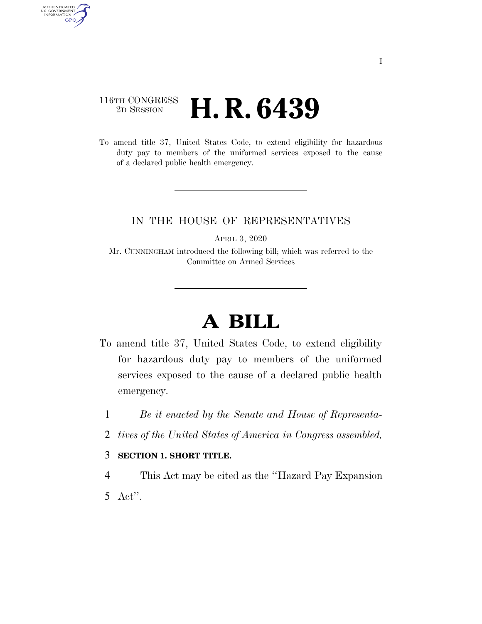## 116TH CONGRESS <sup>2D SESSION</sup> **H. R. 6439**

AUTHENTICATED<br>U.S. GOVERNMENT<br>INFORMATION GPO

> To amend title 37, United States Code, to extend eligibility for hazardous duty pay to members of the uniformed services exposed to the cause of a declared public health emergency.

## IN THE HOUSE OF REPRESENTATIVES

APRIL 3, 2020

Mr. CUNNINGHAM introduced the following bill; which was referred to the Committee on Armed Services

## **A BILL**

- To amend title 37, United States Code, to extend eligibility for hazardous duty pay to members of the uniformed services exposed to the cause of a declared public health emergency.
	- 1 *Be it enacted by the Senate and House of Representa-*
	- 2 *tives of the United States of America in Congress assembled,*

## 3 **SECTION 1. SHORT TITLE.**

4 This Act may be cited as the ''Hazard Pay Expansion 5 Act''.